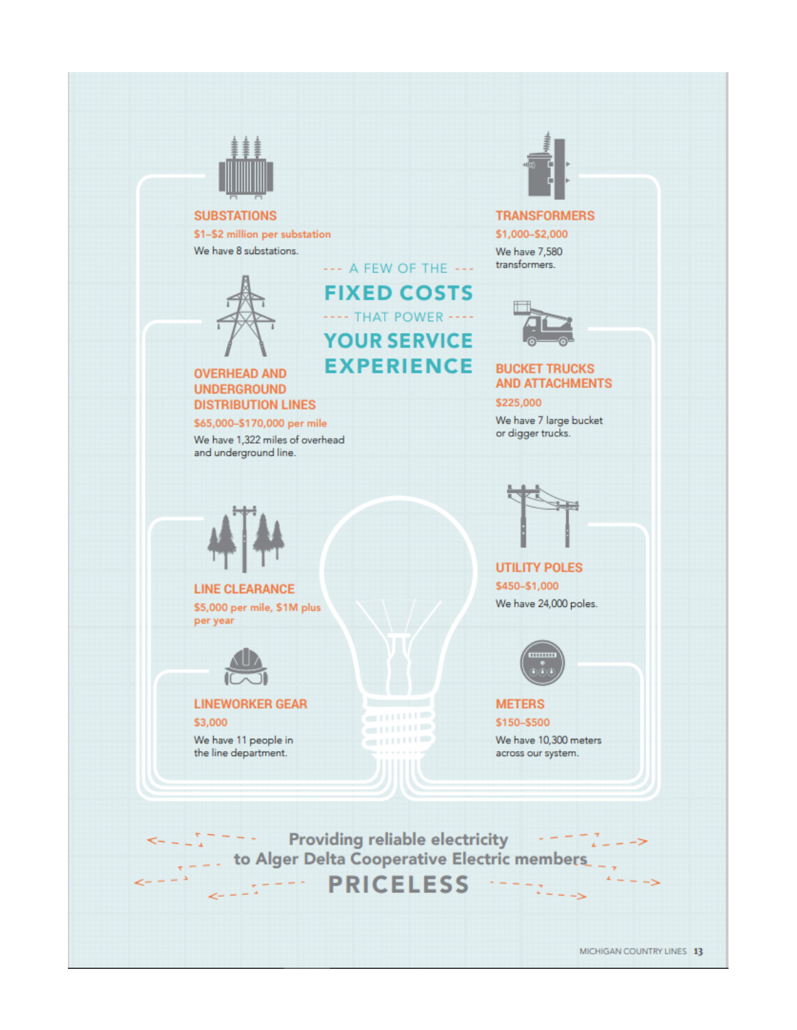

#### **SUBSTATIONS**

\$1-\$2 million per substation We have 8 substations.

> --- A FEW OF THE ---**FIXED COSTS** ---- THAT POWER ----**YOUR SERVICE EXPERIENCE**



#### **OVERHEAD AND UNDERGROUND DISTRIBUTION LINES**

\$65,000-\$170,000 per mile We have 1,322 miles of overhead and underground line.



**LINE CLEARANCE** \$5,000 per mile, \$1M plus per year



#### **LINEWORKER GEAR**

\$3,000

We have 11 people in the line department.



**TRANSFORMERS** \$1,000-\$2,000 We have 7,580 transformers.



#### **BUCKET TRUCKS AND ATTACHMENTS**

\$225,000

We have 7 large bucket or digger trucks.



**UTILITY POLES** \$450-\$1,000 We have 24,000 poles.



#### **METERS** \$150-\$500

We have 10,300 meters across our system.

 $\frac{1}{2}$   $\frac{1}{2}$   $\frac{1}{2}$   $\frac{1}{2}$  Providing reliable electricity  $- - - - -$ --- PRICELESS

**STITUTE** 

en man e

第111111章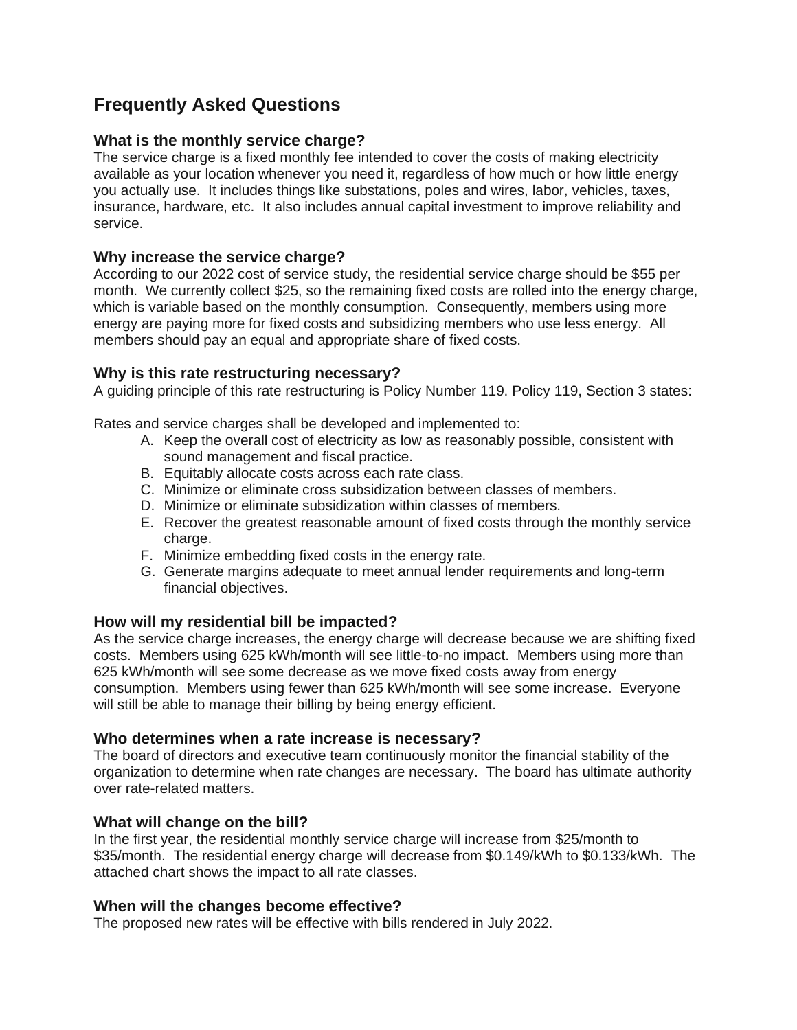# **Frequently Asked Questions**

## **What is the monthly service charge?**

The service charge is a fixed monthly fee intended to cover the costs of making electricity available as your location whenever you need it, regardless of how much or how little energy you actually use. It includes things like substations, poles and wires, labor, vehicles, taxes, insurance, hardware, etc. It also includes annual capital investment to improve reliability and service.

### **Why increase the service charge?**

According to our 2022 cost of service study, the residential service charge should be \$55 per month. We currently collect \$25, so the remaining fixed costs are rolled into the energy charge, which is variable based on the monthly consumption. Consequently, members using more energy are paying more for fixed costs and subsidizing members who use less energy. All members should pay an equal and appropriate share of fixed costs.

### **Why is this rate restructuring necessary?**

A guiding principle of this rate restructuring is Policy Number 119. Policy 119, Section 3 states:

Rates and service charges shall be developed and implemented to:

- A. Keep the overall cost of electricity as low as reasonably possible, consistent with sound management and fiscal practice.
- B. Equitably allocate costs across each rate class.
- C. Minimize or eliminate cross subsidization between classes of members.
- D. Minimize or eliminate subsidization within classes of members.
- E. Recover the greatest reasonable amount of fixed costs through the monthly service charge.
- F. Minimize embedding fixed costs in the energy rate.
- G. Generate margins adequate to meet annual lender requirements and long-term financial objectives.

### **How will my residential bill be impacted?**

As the service charge increases, the energy charge will decrease because we are shifting fixed costs. Members using 625 kWh/month will see little-to-no impact. Members using more than 625 kWh/month will see some decrease as we move fixed costs away from energy consumption. Members using fewer than 625 kWh/month will see some increase. Everyone will still be able to manage their billing by being energy efficient.

### **Who determines when a rate increase is necessary?**

The board of directors and executive team continuously monitor the financial stability of the organization to determine when rate changes are necessary. The board has ultimate authority over rate-related matters.

### **What will change on the bill?**

In the first year, the residential monthly service charge will increase from \$25/month to \$35/month. The residential energy charge will decrease from \$0.149/kWh to \$0.133/kWh. The attached chart shows the impact to all rate classes.

### **When will the changes become effective?**

The proposed new rates will be effective with bills rendered in July 2022.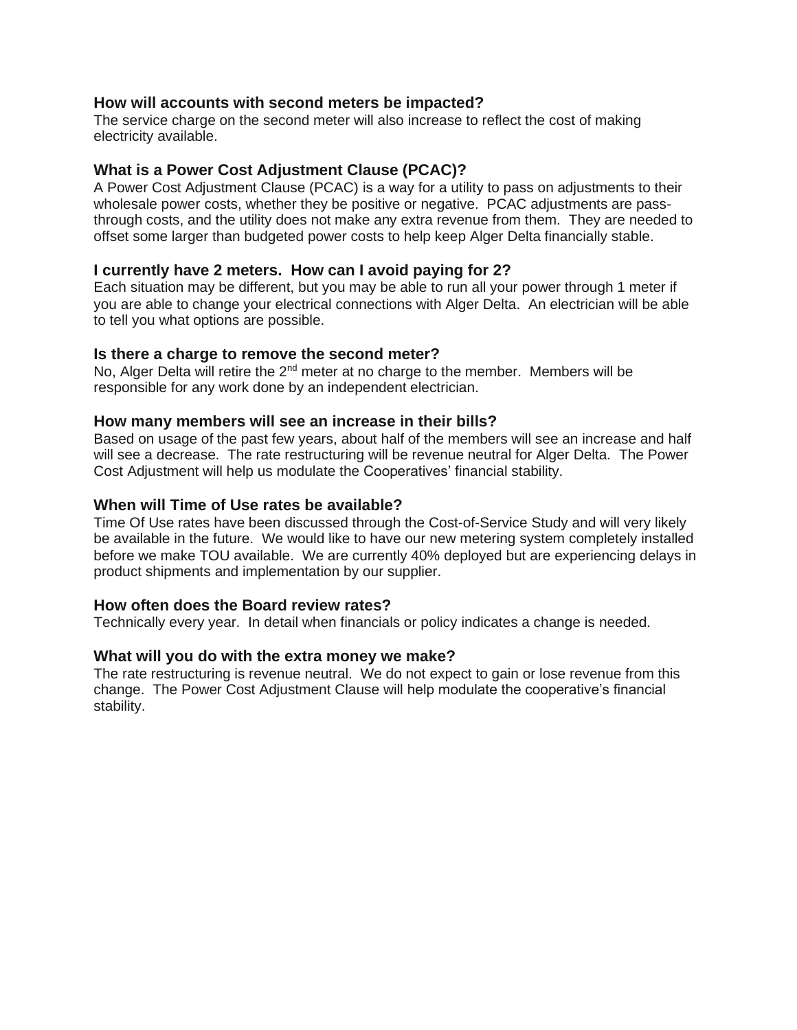#### **How will accounts with second meters be impacted?**

The service charge on the second meter will also increase to reflect the cost of making electricity available.

#### **What is a Power Cost Adjustment Clause (PCAC)?**

A Power Cost Adjustment Clause (PCAC) is a way for a utility to pass on adjustments to their wholesale power costs, whether they be positive or negative. PCAC adjustments are passthrough costs, and the utility does not make any extra revenue from them. They are needed to offset some larger than budgeted power costs to help keep Alger Delta financially stable.

#### **I currently have 2 meters. How can I avoid paying for 2?**

Each situation may be different, but you may be able to run all your power through 1 meter if you are able to change your electrical connections with Alger Delta. An electrician will be able to tell you what options are possible.

#### **Is there a charge to remove the second meter?**

No, Alger Delta will retire the  $2^{nd}$  meter at no charge to the member. Members will be responsible for any work done by an independent electrician.

#### **How many members will see an increase in their bills?**

Based on usage of the past few years, about half of the members will see an increase and half will see a decrease. The rate restructuring will be revenue neutral for Alger Delta. The Power Cost Adjustment will help us modulate the Cooperatives' financial stability.

#### **When will Time of Use rates be available?**

Time Of Use rates have been discussed through the Cost-of-Service Study and will very likely be available in the future. We would like to have our new metering system completely installed before we make TOU available. We are currently 40% deployed but are experiencing delays in product shipments and implementation by our supplier.

#### **How often does the Board review rates?**

Technically every year. In detail when financials or policy indicates a change is needed.

#### **What will you do with the extra money we make?**

The rate restructuring is revenue neutral. We do not expect to gain or lose revenue from this change. The Power Cost Adjustment Clause will help modulate the cooperative's financial stability.